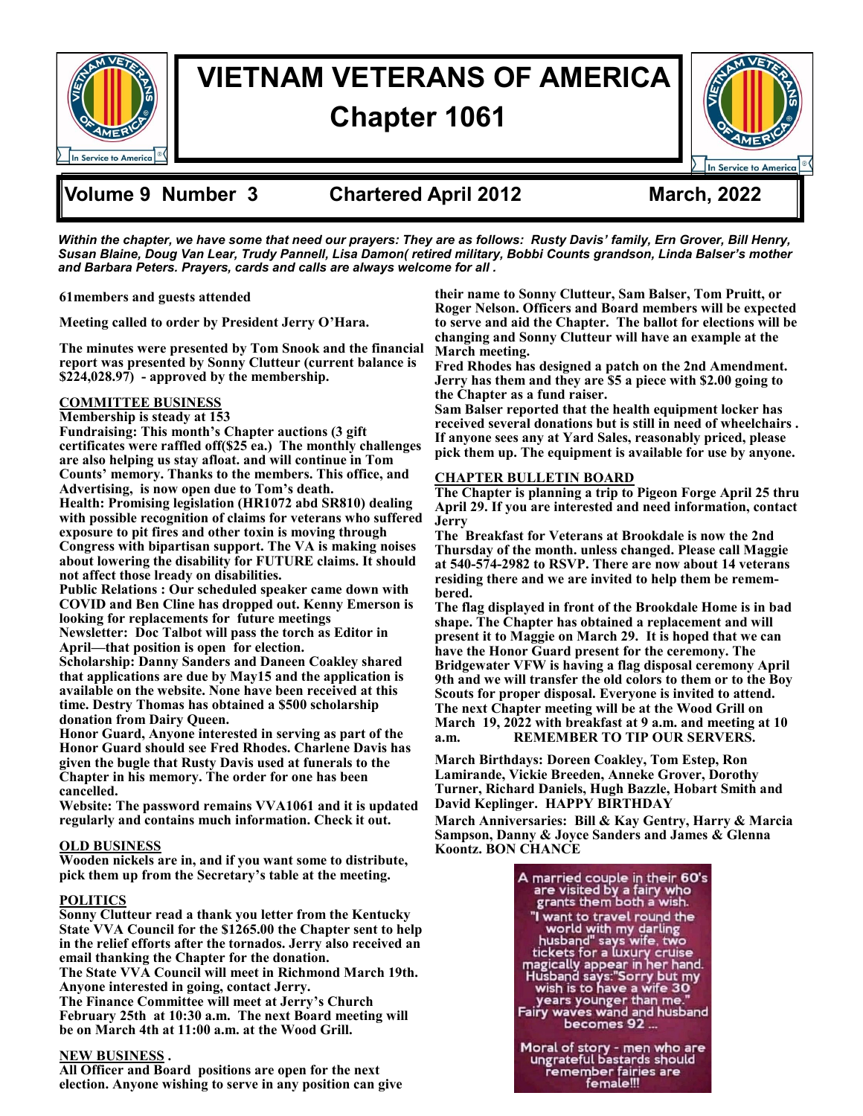

# **VIETNAM VETERANS OF AMERICA Chapter 1061**



## **Volume 9 Number 3 Chartered April 2012 March, 2022**

*Within the chapter, we have some that need our prayers: They are as follows: Rusty Davis' family, Ern Grover, Bill Henry, Susan Blaine, Doug Van Lear, Trudy Pannell, Lisa Damon( retired military, Bobbi Counts grandson, Linda Balser's mother and Barbara Peters. Prayers, cards and calls are always welcome for all .*

**61members and guests attended**

**Meeting called to order by President Jerry O'Hara.** 

**The minutes were presented by Tom Snook and the financial report was presented by Sonny Clutteur (current balance is \$224,028.97) - approved by the membership.** 

### **COMMITTEE BUSINESS**

#### **Membership is steady at 153**

**Fundraising: This month's Chapter auctions (3 gift certificates were raffled off(\$25 ea.) The monthly challenges are also helping us stay afloat. and will continue in Tom Counts' memory. Thanks to the members. This office, and Advertising, is now open due to Tom's death. Health: Promising legislation (HR1072 abd SR810) dealing** 

**with possible recognition of claims for veterans who suffered exposure to pit fires and other toxin is moving through Congress with bipartisan support. The VA is making noises about lowering the disability for FUTURE claims. It should not affect those lready on disabilities.** 

**Public Relations : Our scheduled speaker came down with COVID and Ben Cline has dropped out. Kenny Emerson is looking for replacements for future meetings Newsletter: Doc Talbot will pass the torch as Editor in** 

**April—that position is open for election.** 

**Scholarship: Danny Sanders and Daneen Coakley shared that applications are due by May15 and the application is available on the website. None have been received at this time. Destry Thomas has obtained a \$500 scholarship donation from Dairy Queen.** 

**Honor Guard, Anyone interested in serving as part of the Honor Guard should see Fred Rhodes. Charlene Davis has given the bugle that Rusty Davis used at funerals to the Chapter in his memory. The order for one has been cancelled.** 

**Website: The password remains VVA1061 and it is updated regularly and contains much information. Check it out.** 

#### **OLD BUSINESS**

**Wooden nickels are in, and if you want some to distribute, pick them up from the Secretary's table at the meeting.** 

#### **POLITICS**

**Sonny Clutteur read a thank you letter from the Kentucky State VVA Council for the \$1265.00 the Chapter sent to help in the relief efforts after the tornados. Jerry also received an email thanking the Chapter for the donation.** 

**The State VVA Council will meet in Richmond March 19th. Anyone interested in going, contact Jerry.** 

**The Finance Committee will meet at Jerry's Church February 25th at 10:30 a.m. The next Board meeting will be on March 4th at 11:00 a.m. at the Wood Grill.** 

#### **NEW BUSINESS .**

**All Officer and Board positions are open for the next election. Anyone wishing to serve in any position can give** 

**their name to Sonny Clutteur, Sam Balser, Tom Pruitt, or Roger Nelson. Officers and Board members will be expected to serve and aid the Chapter. The ballot for elections will be changing and Sonny Clutteur will have an example at the March meeting.** 

**Fred Rhodes has designed a patch on the 2nd Amendment. Jerry has them and they are \$5 a piece with \$2.00 going to the Chapter as a fund raiser.** 

**Sam Balser reported that the health equipment locker has received several donations but is still in need of wheelchairs . If anyone sees any at Yard Sales, reasonably priced, please pick them up. The equipment is available for use by anyone.** 

#### **CHAPTER BULLETIN BOARD**

**The Chapter is planning a trip to Pigeon Forge April 25 thru April 29. If you are interested and need information, contact Jerry**

**The Breakfast for Veterans at Brookdale is now the 2nd Thursday of the month. unless changed. Please call Maggie at 540-574-2982 to RSVP. There are now about 14 veterans residing there and we are invited to help them be remembered.** 

**The flag displayed in front of the Brookdale Home is in bad shape. The Chapter has obtained a replacement and will present it to Maggie on March 29. It is hoped that we can have the Honor Guard present for the ceremony. The Bridgewater VFW is having a flag disposal ceremony April 9th and we will transfer the old colors to them or to the Boy Scouts for proper disposal. Everyone is invited to attend. The next Chapter meeting will be at the Wood Grill on March 19, 2022 with breakfast at 9 a.m. and meeting at 10 a.m. REMEMBER TO TIP OUR SERVERS.** 

**March Birthdays: Doreen Coakley, Tom Estep, Ron Lamirande, Vickie Breeden, Anneke Grover, Dorothy Turner, Richard Daniels, Hugh Bazzle, Hobart Smith and David Keplinger. HAPPY BIRTHDAY**

**March Anniversaries: Bill & Kay Gentry, Harry & Marcia Sampson, Danny & Joyce Sanders and James & Glenna Koontz. BON CHANCE** 

> A married couple in their 60's<br>are visited by a fairy who<br>grants them both a wish. "I want to travel round the I want to travel with my darling<br>husband" says wife, two<br>tickets for a luxury cruise<br>magically appear in her hand.<br>Husband says:"Sorry but my<br>wish is to have a wife 30" years younger than me.' Fairy waves wand and husband<br>becomes 92... Moral of story - men who are<br>ungrateful bastards should remember fairies are<br>femember fairies are<br>female!!!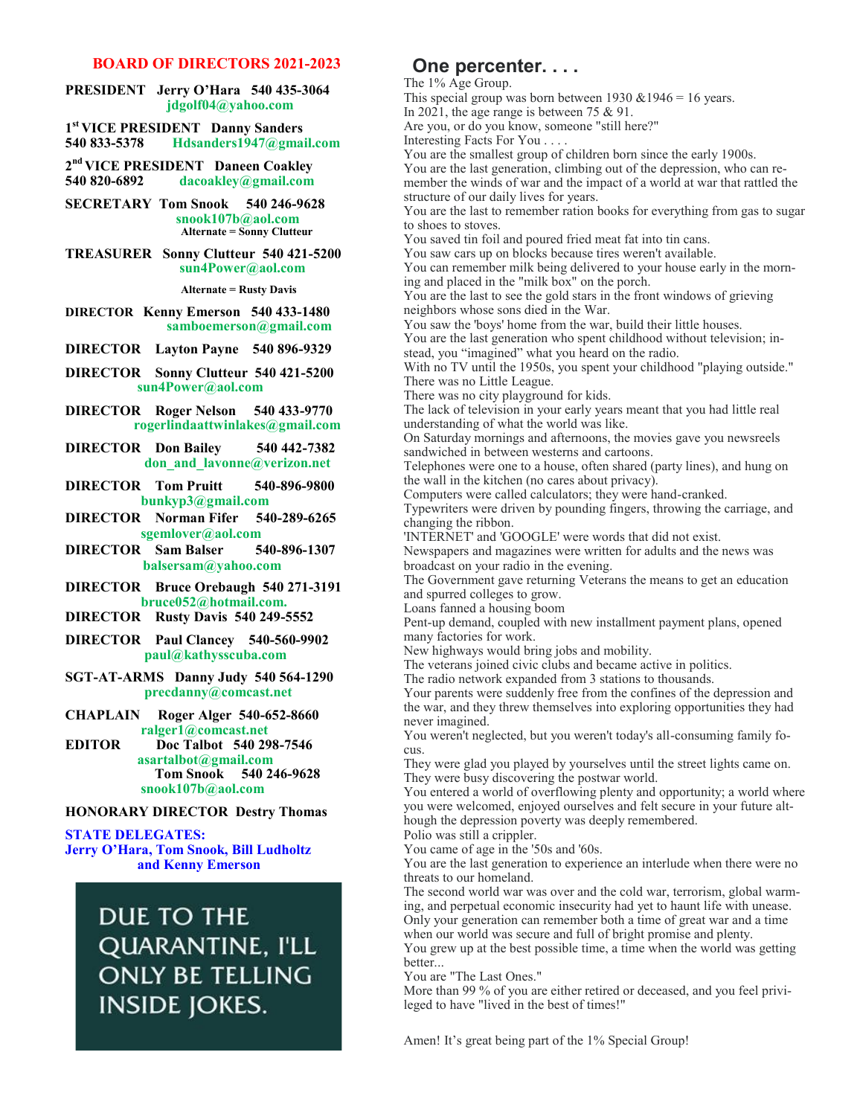#### **BOARD OF DIRECTORS 2021-2023**

#### **PRESIDENT Jerry O'Hara 540 435-3064 jdgolf04@yahoo.com**

**1 st VICE PRESIDENT Danny Sanders 540 833-5378 Hdsanders1947@gmail.com**

**2 nd VICE PRESIDENT Daneen Coakley 540 820-6892 dacoakley@gmail.com**

**SECRETARY Tom Snook 540 246-9628 snook107b@aol.com Alternate = Sonny Clutteur** 

**TREASURER Sonny Clutteur 540 421-5200 sun4Power@aol.com**

 **Alternate = Rusty Davis**

#### **DIRECTOR Kenny Emerson 540 433-1480 samboemerson@gmail.com**

**DIRECTOR Layton Payne 540 896-9329** 

**DIRECTOR Sonny Clutteur 540 421-5200 sun4Power@aol.com**

**DIRECTOR Roger Nelson 540 433-9770 rogerlindaattwinlakes@gmail.com**

**DIRECTOR Don Bailey 540 442-7382 don\_and\_lavonne@verizon.net**

**DIRECTOR Tom Pruitt 540-896-9800 bunkyp3@gmail.com**

**DIRECTOR Norman Fifer 540-289-6265 sgemlover@aol.com** 

**DIRECTOR Sam Balser 540-896-1307 balsersam@yahoo.com**

**DIRECTOR Bruce Orebaugh 540 271-3191 bruce052@hotmail.com.** 

**DIRECTOR Rusty Davis 540 249-5552**

**DIRECTOR Paul Clancey 540-560-9902 paul@kathysscuba.com**

**SGT-AT-ARMS Danny Judy 540 564-1290 precdanny@comcast.net**

**CHAPLAIN Roger Alger 540-652-8660 ralger1@comcast.net** 

**EDITOR Doc Talbot 540 298-7546 asartalbot@gmail.com Tom Snook 540 246-9628 snook107b@aol.com**

#### **HONORARY DIRECTOR Destry Thomas**

**STATE DELEGATES: Jerry O'Hara, Tom Snook, Bill Ludholtz and Kenny Emerson** 

> DUE TO THE QUARANTINE, I'LL **ONLY BE TELLING INSIDE JOKES.**

## **One percenter. . . .**

The 1% Age Group.

This special group was born between 1930  $&1946 = 16$  years. In 2021, the age range is between 75 & 91. Are you, or do you know, someone "still here?" Interesting Facts For You . . . .

You are the smallest group of children born since the early 1900s. You are the last generation, climbing out of the depression, who can remember the winds of war and the impact of a world at war that rattled the structure of our daily lives for years.

You are the last to remember ration books for everything from gas to sugar to shoes to stoves.

You saved tin foil and poured fried meat fat into tin cans.

You saw cars up on blocks because tires weren't available.

You can remember milk being delivered to your house early in the morning and placed in the "milk box" on the porch.

You are the last to see the gold stars in the front windows of grieving neighbors whose sons died in the War.

You saw the 'boys' home from the war, build their little houses. You are the last generation who spent childhood without television; in-

stead, you "imagined" what you heard on the radio.

With no TV until the 1950s, you spent your childhood "playing outside." There was no Little League.

There was no city playground for kids.

The lack of television in your early years meant that you had little real understanding of what the world was like.

On Saturday mornings and afternoons, the movies gave you newsreels sandwiched in between westerns and cartoons.

Telephones were one to a house, often shared (party lines), and hung on the wall in the kitchen (no cares about privacy).

Computers were called calculators; they were hand-cranked.

Typewriters were driven by pounding fingers, throwing the carriage, and changing the ribbon.

'INTERNET' and 'GOOGLE' were words that did not exist.

Newspapers and magazines were written for adults and the news was broadcast on your radio in the evening.

The Government gave returning Veterans the means to get an education and spurred colleges to grow.

Loans fanned a housing boom

Pent-up demand, coupled with new installment payment plans, opened many factories for work.

New highways would bring jobs and mobility.

The veterans joined civic clubs and became active in politics.

The radio network expanded from 3 stations to thousands.

Your parents were suddenly free from the confines of the depression and the war, and they threw themselves into exploring opportunities they had never imagined.

You weren't neglected, but you weren't today's all-consuming family focus.

They were glad you played by yourselves until the street lights came on. They were busy discovering the postwar world.

You entered a world of overflowing plenty and opportunity; a world where you were welcomed, enjoyed ourselves and felt secure in your future although the depression poverty was deeply remembered.

Polio was still a crippler.

You came of age in the '50s and '60s.

You are the last generation to experience an interlude when there were no threats to our homeland.

The second world war was over and the cold war, terrorism, global warming, and perpetual economic insecurity had yet to haunt life with unease. Only your generation can remember both a time of great war and a time when our world was secure and full of bright promise and plenty.

You grew up at the best possible time, a time when the world was getting better...

You are "The Last Ones."

More than 99 % of you are either retired or deceased, and you feel privileged to have "lived in the best of times!"

Amen! It's great being part of the 1% Special Group!